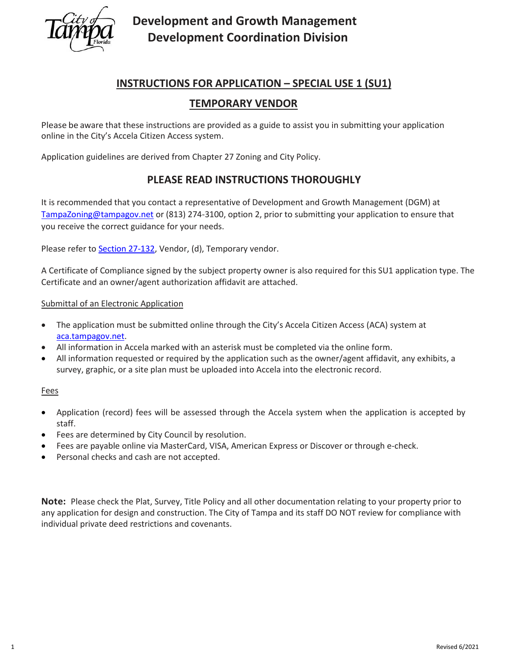

# **Development and Growth Management Development Coordination Division**

### **INSTRUCTIONS FOR APPLICATION – SPECIAL USE 1 (SU1)**

### **TEMPORARY VENDOR**

Please be aware that these instructions are provided as a guide to assist you in submitting your application online in the City's Accela Citizen Access system.

Application guidelines are derived from Chapter 27 Zoning and City Policy.

### **PLEASE READ INSTRUCTIONS THOROUGHLY**

It is recommended that you contact a representative of Development and Growth Management (DGM) at [TampaZoning@tampagov.net](mailto:TampaZoning@tampagov.net) or (813) 274-3100, option 2, prior to submitting your application to ensure that you receive the correct guidance for your needs.

Please refer to **Section 27-132**, Vendor, (d), Temporary vendor.

A Certificate of Compliance signed by the subject property owner is also required for this SU1 application type. The Certificate and an owner/agent authorization affidavit are attached.

### Submittal of an Electronic Application

- The application must be submitted online through the City's Accela Citizen Access (ACA) system at [aca.tampagov.net.](https://aca.tampagov.net/citizenaccess/default.aspx)
- All information in Accela marked with an asterisk must be completed via the online form.
- All information requested or required by the application such as the owner/agent affidavit, any exhibits, a survey, graphic, or a site plan must be uploaded into Accela into the electronic record.

### Fees

- Application (record) fees will be assessed through the Accela system when the application is accepted by staff.
- Fees are determined by City Council by resolution.
- Fees are payable online via MasterCard, VISA, American Express or Discover or through e-check.
- Personal checks and cash are not accepted.

**Note:** Please check the Plat, Survey, Title Policy and all other documentation relating to your property prior to any application for design and construction. The City of Tampa and its staff DO NOT review for compliance with individual private deed restrictions and covenants.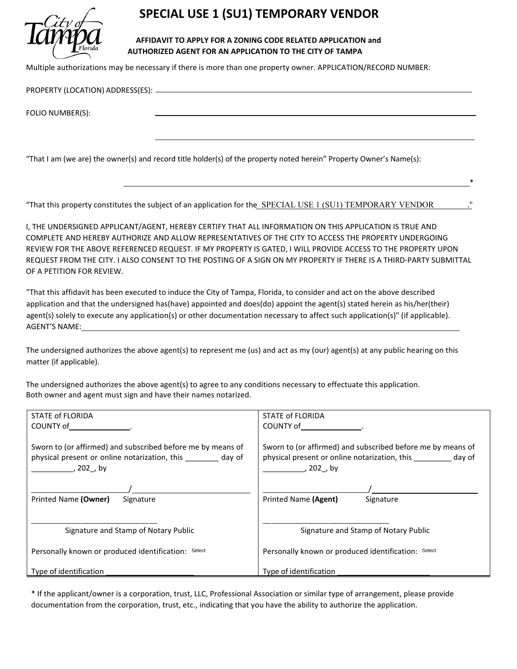

## **SPECIAL USE 1 (SU1) TEMPORARY VENDOR**

#### **AFFIDAVIT TO APPLY FOR A ZONING CODE RELATED APPLICATION and AUTHORIZED AGENT FOR AN APPLICATION TO THE CITY OF TAMPA**

Multiple authorizations may be necessary if there is more than one property owner. APPLICATION/RECORD NUMBER:

PROPERTY (LOCATION) ADDRESS(ES):

FOLIO NUMBER(S):

"That I am (we are) the owner(s) and record title holder(s) of the property noted herein" Property Owner's Name(s):

"That this property constitutes the subject of an application for the SPECIAL USE 1 (SU1) TEMPORARY VENDOR

I, THE UNDERSIGNED APPLICANT/AGENT, HEREBY CERTIFY THAT ALL INFORMATION ON THIS APPLICATION IS TRUE AND COMPLETE AND HEREBY AUTHORIZE AND ALLOW REPRESENTATIVES OF THE CITY TO ACCESS THE PROPERTY UNDERGOING REVIEW FOR THE ABOVE REFERENCED REQUEST. IF MY PROPERTY IS GATED, I WILL PROVIDE ACCESS TO THE PROPERTY UPON REQUEST FROM THE CITY. I ALSO CONSENT TO THE POSTING OF A SIGN ON MY PROPERTY IF THERE IS A THIRD-PARTY SUBMITTAL OF A PETITION FOR REVIEW.

 $*$ 

"That this affidavit has been executed to induce the City of Tampa, Florida, to consider and act on the above described application and that the undersigned has(have) appointed and does(do) appoint the agent(s) stated herein as his/her(their) agent(s) solely to execute any application(s) or other documentation necessary to affect such application(s)" (if applicable). AGENT'S NAME:

The undersigned authorizes the above agent(s) to represent me (us) and act as my (our) agent(s) at any public hearing on this matter (if applicable).

The undersigned authorizes the above agent(s) to agree to any conditions necessary to effectuate this application. Both owner and agent must sign and have their names notarized.

| STATE of FLORIDA                                                                                                                | STATE of FLORIDA                                                                                                                |
|---------------------------------------------------------------------------------------------------------------------------------|---------------------------------------------------------------------------------------------------------------------------------|
| COUNTY of the country of                                                                                                        | COUNTY of the country of                                                                                                        |
| Sworn to (or affirmed) and subscribed before me by means of<br>physical present or online notarization, this day of<br>, 202,by | Sworn to (or affirmed) and subscribed before me by means of<br>physical present or online notarization, this day of<br>, 202,by |
|                                                                                                                                 |                                                                                                                                 |
| Printed Name (Owner)<br>Signature                                                                                               | Printed Name (Agent)<br>Signature                                                                                               |
| Signature and Stamp of Notary Public                                                                                            | Signature and Stamp of Notary Public                                                                                            |
| Personally known or produced identification: Select                                                                             | Personally known or produced identification: Select                                                                             |
| Type of identification                                                                                                          | Type of identification                                                                                                          |

\* If the applicant/owner is a corporation, trust, LLC, Professional Association or similar type of arrangement, please provide documentation from the corporation, trust, etc., indicating that you have the ability to authorize the application.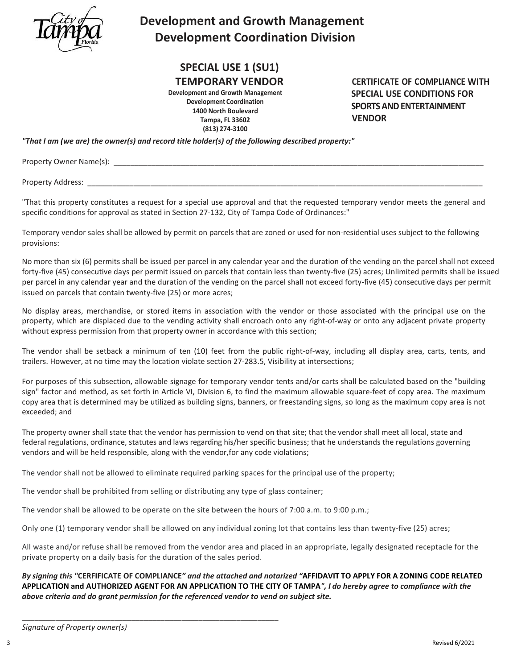

# **Development and Growth Management Development Coordination Division**

## **SPECIAL USE 1 (SU1)**

### **TEMPORARY VENDOR**

**Development and Growth Management Development Coordination 1400 North Boulevard Tampa, FL 33602 (813) 274-3100**

**CERTIFICATE OF COMPLIANCE WITH SPECIAL USE CONDITIONS FOR SPORTS AND ENTERTAINMENT VENDOR**

*"That I am (we are) the owner(s) and record title holder(s) of the following described property:"*

Property Owner Name(s): \_\_\_\_\_\_\_\_\_\_\_\_\_\_\_\_\_\_\_\_\_\_\_\_\_\_\_\_\_\_\_\_\_\_\_\_\_\_\_\_\_\_\_\_\_\_\_\_\_\_\_\_\_\_\_\_\_\_\_\_\_\_\_\_\_\_\_\_\_\_\_\_\_\_\_\_\_\_\_\_\_\_\_\_\_\_\_\_

Property Address:

"That this property constitutes a request for a special use approval and that the requested temporary vendor meets the general and specific conditions for approval as stated in Section 27-132, City of Tampa Code of Ordinances:"

Temporary vendor sales shall be allowed by permit on parcels that are zoned or used for non-residential uses subject to the following provisions:

No more than six (6) permits shall be issued per parcel in any calendar year and the duration of the vending on the parcel shall not exceed forty-five (45) consecutive days per permit issued on parcels that contain less than twenty-five (25) acres; Unlimited permits shall be issued per parcel in any calendar year and the duration of the vending on the parcel shall not exceed forty-five (45) consecutive days per permit issued on parcels that contain twenty-five (25) or more acres;

No display areas, merchandise, or stored items in association with the vendor or those associated with the principal use on the property, which are displaced due to the vending activity shall encroach onto any right-of-way or onto any adjacent private property without express permission from that property owner in accordance with this section;

The vendor shall be setback a minimum of ten (10) feet from the public right-of-way, including all display area, carts, tents, and trailers. However, at no time may the location violate [section 27-283.5,](https://library.municode.com/fl/tampa/codes/code_of_ordinances?nodeId=COOR_CH27ZOLADE_ARTVISURE_DIV3ACPALO_S27-283.5VIIN) Visibility at intersections;

For purposes of this subsection, allowable signage for temporary vendor tents and/or carts shall be calculated based on the "building sign" factor and method, as set forth in Article VI, Division 6, to find the maximum allowable square-feet of copy area. The maximum copy area that is determined may be utilized as building signs, banners, or freestanding signs, so long as the maximum copy area is not exceeded; and

The property owner shall state that the vendor has permission to vend on that site; that the vendor shall meet all local, state and federal regulations, ordinance, statutes and laws regarding his/her specific business; that he understands the regulations governing vendors and will be held responsible, along with the vendor,for any code violations;

The vendor shall not be allowed to eliminate required parking spaces for the principal use of the property;

The vendor shall be prohibited from selling or distributing any type of glass container;

\_\_\_\_\_\_\_\_\_\_\_\_\_\_\_\_\_\_\_\_\_\_\_\_\_\_\_\_\_\_\_\_\_\_\_\_\_\_\_\_\_\_\_\_\_\_\_\_\_\_\_\_\_\_\_\_\_\_\_\_\_

The vendor shall be allowed to be operate on the site between the hours of 7:00 a.m. to 9:00 p.m.;

Only one (1) temporary vendor shall be allowed on any individual zoning lot that contains less than twenty-five (25) acres;

All waste and/or refuse shall be removed from the vendor area and placed in an appropriate, legally designated receptacle for the private property on a daily basis for the duration of the sales period.

*By signing this "***CERFIFICATE OF COMPLIANCE***" and the attached and notarized "***AFFIDAVIT TO APPLY FOR A ZONING CODE RELATED** APPLICATION and AUTHORIZED AGENT FOR AN APPLICATION TO THE CITY OF TAMPA", I do hereby agree to compliance with the *above criteria and do grant permission for the referenced vendor to vend on subject site.*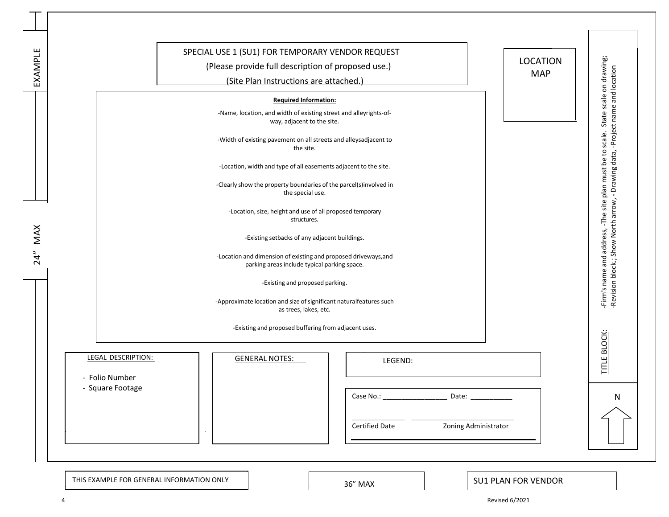| EXAMPLE | SPECIAL USE 1 (SU1) FOR TEMPORARY VENDOR REQUEST<br><b>LOCATION</b><br>(Please provide full description of proposed use.)<br><b>MAP</b><br>(Site Plan Instructions are attached.) | -Firm's name and address, -The site plan must be to scale. State scale on drawing;<br>-Revision block.; Show North arrow, - Drawing data, -Project name and location |  |
|---------|-----------------------------------------------------------------------------------------------------------------------------------------------------------------------------------|----------------------------------------------------------------------------------------------------------------------------------------------------------------------|--|
|         | <b>Required Information:</b><br>-Name, location, and width of existing street and alleyrights-of-<br>way, adjacent to the site.                                                   |                                                                                                                                                                      |  |
|         | -Width of existing pavement on all streets and alleysadjacent to<br>the site.                                                                                                     |                                                                                                                                                                      |  |
|         | -Location, width and type of all easements adjacent to the site.<br>-Clearly show the property boundaries of the parcel(s)involved in                                             |                                                                                                                                                                      |  |
|         | the special use.                                                                                                                                                                  |                                                                                                                                                                      |  |
| MAX     | -Location, size, height and use of all proposed temporary<br>structures.                                                                                                          |                                                                                                                                                                      |  |
|         | -Existing setbacks of any adjacent buildings.                                                                                                                                     |                                                                                                                                                                      |  |
| 24"     | -Location and dimension of existing and proposed driveways, and<br>parking areas include typical parking space.                                                                   |                                                                                                                                                                      |  |
|         | -Existing and proposed parking.                                                                                                                                                   |                                                                                                                                                                      |  |
|         | -Approximate location and size of significant naturalfeatures such<br>as trees, lakes, etc.                                                                                       |                                                                                                                                                                      |  |
|         | -Existing and proposed buffering from adjacent uses.                                                                                                                              |                                                                                                                                                                      |  |
|         | LEGAL DESCRIPTION:<br><b>GENERAL NOTES:</b><br>LEGEND:<br>- Folio Number                                                                                                          | <b>TITLE BLOCK</b>                                                                                                                                                   |  |
|         | - Square Footage<br>Date: $\frac{1}{\sqrt{1-\frac{1}{2}}\cdot\frac{1}{2}}$                                                                                                        | N                                                                                                                                                                    |  |
|         | Zoning Administrator<br><b>Certified Date</b>                                                                                                                                     |                                                                                                                                                                      |  |
|         |                                                                                                                                                                                   |                                                                                                                                                                      |  |

4 Revised 6/2021

SU1 PLAN FOR VENDOR

THIS EXAMPLE FOR GENERAL INFORMATION ONLY **1999 120 CM 2018** 36" MAX